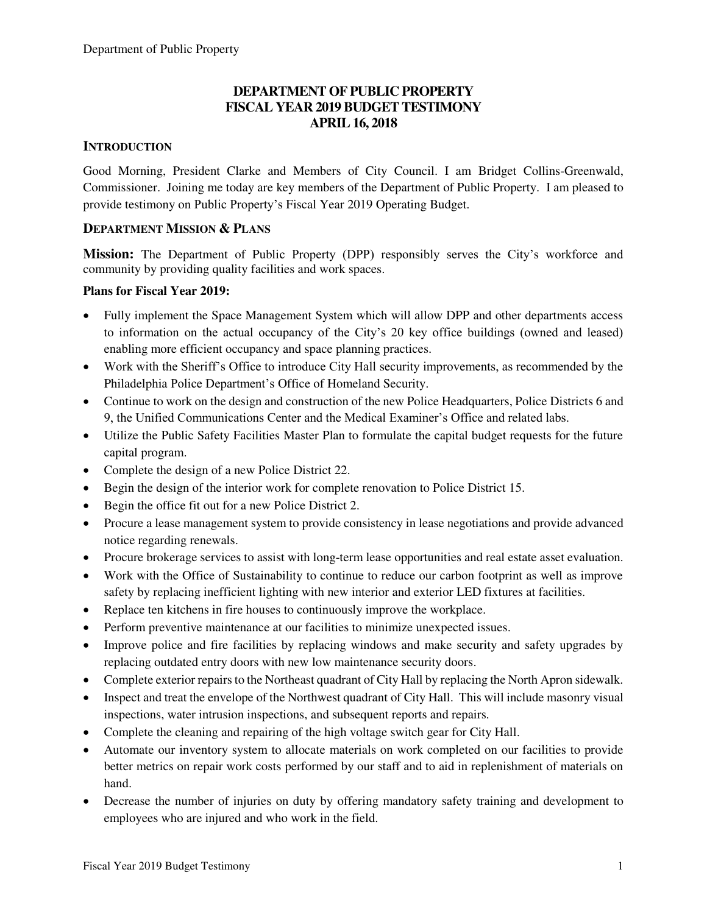## **DEPARTMENT OF PUBLIC PROPERTY FISCAL YEAR 2019 BUDGET TESTIMONY APRIL 16, 2018**

## **INTRODUCTION**

Good Morning, President Clarke and Members of City Council. I am Bridget Collins-Greenwald, Commissioner. Joining me today are key members of the Department of Public Property. I am pleased to provide testimony on Public Property's Fiscal Year 2019 Operating Budget.

## **DEPARTMENT MISSION & PLANS**

**Mission:** The Department of Public Property (DPP) responsibly serves the City's workforce and community by providing quality facilities and work spaces.

## **Plans for Fiscal Year 2019:**

- Fully implement the Space Management System which will allow DPP and other departments access to information on the actual occupancy of the City's 20 key office buildings (owned and leased) enabling more efficient occupancy and space planning practices.
- Work with the Sheriff's Office to introduce City Hall security improvements, as recommended by the Philadelphia Police Department's Office of Homeland Security.
- Continue to work on the design and construction of the new Police Headquarters, Police Districts 6 and 9, the Unified Communications Center and the Medical Examiner's Office and related labs.
- Utilize the Public Safety Facilities Master Plan to formulate the capital budget requests for the future capital program.
- Complete the design of a new Police District 22.
- Begin the design of the interior work for complete renovation to Police District 15.
- Begin the office fit out for a new Police District 2.
- Procure a lease management system to provide consistency in lease negotiations and provide advanced notice regarding renewals.
- Procure brokerage services to assist with long-term lease opportunities and real estate asset evaluation.
- Work with the Office of Sustainability to continue to reduce our carbon footprint as well as improve safety by replacing inefficient lighting with new interior and exterior LED fixtures at facilities.
- Replace ten kitchens in fire houses to continuously improve the workplace.
- Perform preventive maintenance at our facilities to minimize unexpected issues.
- Improve police and fire facilities by replacing windows and make security and safety upgrades by replacing outdated entry doors with new low maintenance security doors.
- Complete exterior repairs to the Northeast quadrant of City Hall by replacing the North Apron sidewalk.
- Inspect and treat the envelope of the Northwest quadrant of City Hall. This will include masonry visual inspections, water intrusion inspections, and subsequent reports and repairs.
- Complete the cleaning and repairing of the high voltage switch gear for City Hall.
- Automate our inventory system to allocate materials on work completed on our facilities to provide better metrics on repair work costs performed by our staff and to aid in replenishment of materials on hand.
- Decrease the number of injuries on duty by offering mandatory safety training and development to employees who are injured and who work in the field.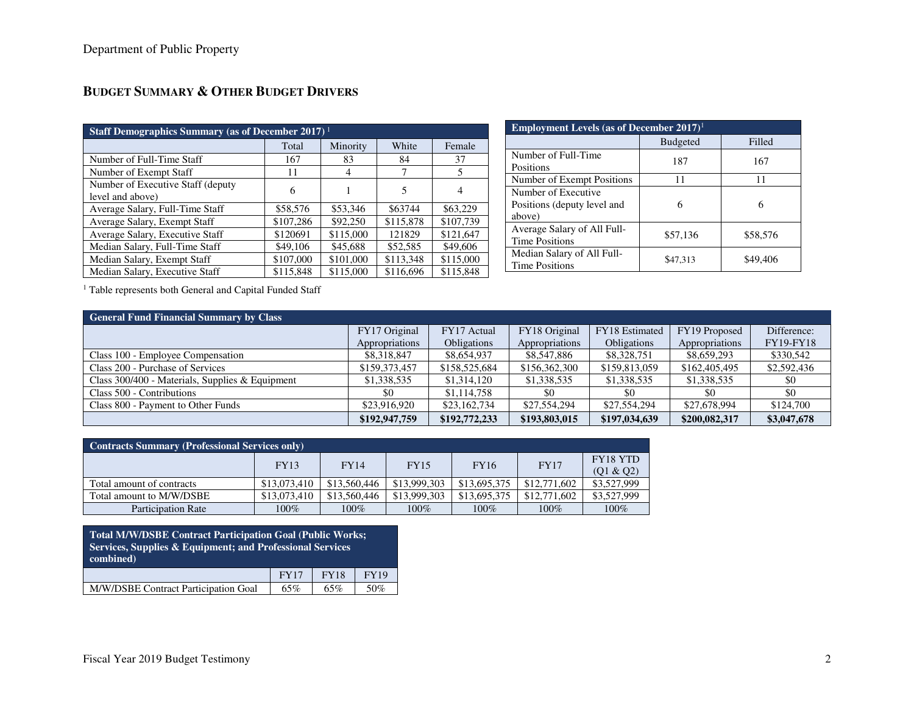| Staff Demographics Summary (as of December 2017) <sup>1</sup> |           |           |           |           |  |  |  |  |
|---------------------------------------------------------------|-----------|-----------|-----------|-----------|--|--|--|--|
|                                                               | Total     | Minority  | White     | Female    |  |  |  |  |
| Number of Full-Time Staff                                     | 167       | 83        | 84        | 37        |  |  |  |  |
| Number of Exempt Staff                                        | 11        | 4         |           | 5         |  |  |  |  |
| Number of Executive Staff (deputy<br>level and above)         | 6         |           | 5         | 4         |  |  |  |  |
| Average Salary, Full-Time Staff                               | \$58,576  | \$53,346  | \$63744   | \$63,229  |  |  |  |  |
| Average Salary, Exempt Staff                                  | \$107,286 | \$92,250  | \$115,878 | \$107,739 |  |  |  |  |
| Average Salary, Executive Staff                               | \$120691  | \$115,000 | 121829    | \$121.647 |  |  |  |  |
| Median Salary, Full-Time Staff                                | \$49,106  | \$45,688  | \$52,585  | \$49,606  |  |  |  |  |
| Median Salary, Exempt Staff                                   | \$107,000 | \$101,000 | \$113,348 | \$115,000 |  |  |  |  |
| Median Salary, Executive Staff                                | \$115,848 | \$115,000 | \$116,696 | \$115,848 |  |  |  |  |

| <b>Employment Levels (as of December 2017)</b> <sup>1</sup>  |                 |          |  |  |  |
|--------------------------------------------------------------|-----------------|----------|--|--|--|
|                                                              | <b>Budgeted</b> | Filled   |  |  |  |
| Number of Full-Time<br>Positions                             | 187             | 167      |  |  |  |
| Number of Exempt Positions                                   | 11              | 11       |  |  |  |
| Number of Executive<br>Positions (deputy level and<br>above) | 6               | 6        |  |  |  |
| Average Salary of All Full-<br><b>Time Positions</b>         | \$57,136        | \$58,576 |  |  |  |
| Median Salary of All Full-<br><b>Time Positions</b>          | \$47,313        | \$49,406 |  |  |  |

<sup>1</sup> Table represents both General and Capital Funded Staff

| <b>General Fund Financial Summary by Class</b>    |                |                    |                |                    |                |                  |  |  |
|---------------------------------------------------|----------------|--------------------|----------------|--------------------|----------------|------------------|--|--|
|                                                   | FY17 Original  | FY17 Actual        | FY18 Original  | FY18 Estimated     | FY19 Proposed  | Difference:      |  |  |
|                                                   | Appropriations | <b>Obligations</b> | Appropriations | <b>Obligations</b> | Appropriations | <b>FY19-FY18</b> |  |  |
| Class 100 - Employee Compensation                 | \$8,318,847    | \$8,654,937        | \$8,547,886    | \$8,328,751        | \$8,659,293    | \$330,542        |  |  |
| Class 200 - Purchase of Services                  | \$159,373,457  | \$158,525,684      | \$156,362,300  | \$159,813,059      | \$162,405,495  | \$2,592,436      |  |  |
| Class $300/400$ - Materials, Supplies & Equipment | \$1,338,535    | \$1,314,120        | \$1,338,535    | \$1,338,535        | \$1,338,535    | \$0              |  |  |
| Class 500 - Contributions                         | \$0            | \$1,114,758        | -\$0           | \$0                | -\$0           | \$0              |  |  |
| Class 800 - Payment to Other Funds                | \$23,916,920   | \$23,162,734       | \$27,554,294   | \$27,554,294       | \$27,678,994   | \$124,700        |  |  |
|                                                   | \$192,947,759  | \$192,772,233      | \$193,803,015  | \$197,034,639      | \$200,082,317  | \$3,047,678      |  |  |

| <b>Contracts Summary (Professional Services only)</b> |              |              |              |              |              |                 |  |  |
|-------------------------------------------------------|--------------|--------------|--------------|--------------|--------------|-----------------|--|--|
|                                                       | <b>FY13</b>  | <b>FY14</b>  | <b>FY15</b>  | <b>FY16</b>  | <b>FY17</b>  | <b>FY18 YTD</b> |  |  |
|                                                       |              |              |              |              |              | (Q1 & Q2)       |  |  |
| Total amount of contracts                             | \$13,073,410 | \$13,560,446 | \$13,999,303 | \$13,695,375 | \$12,771,602 | \$3,527,999     |  |  |
| Total amount to M/W/DSBE                              | \$13,073,410 | \$13,560,446 | \$13,999,303 | \$13,695,375 | \$12,771,602 | \$3,527,999     |  |  |
| <b>Participation Rate</b>                             | $100\%$      | $100\%$      | $100\%$      | 100%         | $100\%$      | 100%            |  |  |

| <b>Total M/W/DSBE Contract Participation Goal (Public Works;</b><br>Services, Supplies & Equipment; and Professional Services<br>combined) |     |     |     |  |  |  |
|--------------------------------------------------------------------------------------------------------------------------------------------|-----|-----|-----|--|--|--|
| <b>FY18</b><br><b>FY17</b><br><b>FY19</b>                                                                                                  |     |     |     |  |  |  |
| M/W/DSBE Contract Participation Goal                                                                                                       | 65% | 65% | 50% |  |  |  |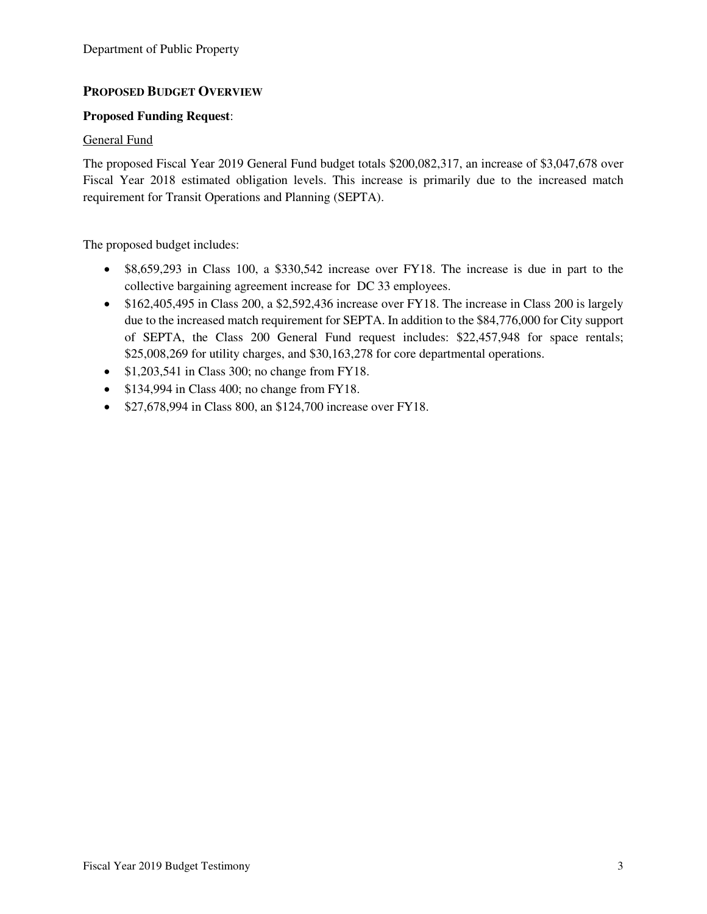## **PROPOSED BUDGET OVERVIEW**

## **Proposed Funding Request**:

### General Fund

The proposed Fiscal Year 2019 General Fund budget totals \$200,082,317, an increase of \$3,047,678 over Fiscal Year 2018 estimated obligation levels. This increase is primarily due to the increased match requirement for Transit Operations and Planning (SEPTA).

The proposed budget includes:

- \$8,659,293 in Class 100, a \$330,542 increase over FY18. The increase is due in part to the collective bargaining agreement increase for DC 33 employees.
- \$162,405,495 in Class 200, a \$2,592,436 increase over FY18. The increase in Class 200 is largely due to the increased match requirement for SEPTA. In addition to the \$84,776,000 for City support of SEPTA, the Class 200 General Fund request includes: \$22,457,948 for space rentals; \$25,008,269 for utility charges, and \$30,163,278 for core departmental operations.
- $$1,203,541$  in Class 300; no change from FY18.
- \$134,994 in Class 400; no change from FY18.
- \$27,678,994 in Class 800, an \$124,700 increase over FY18.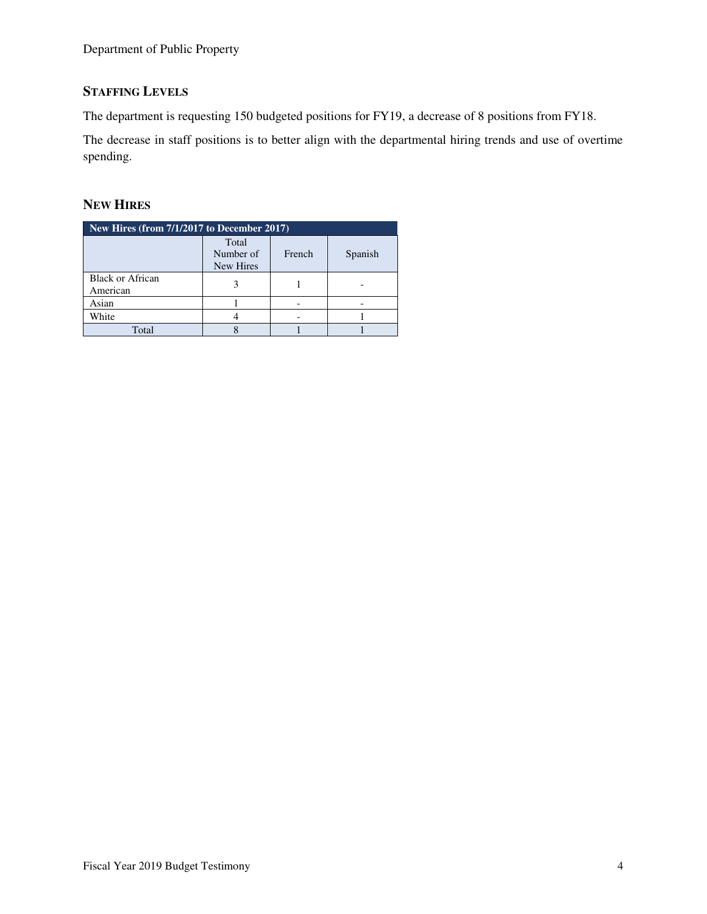## **STAFFING LEVELS**

The department is requesting 150 budgeted positions for FY19, a decrease of 8 positions from FY18.

The decrease in staff positions is to better align with the departmental hiring trends and use of overtime spending.

## **NEW HIRES**

| New Hires (from 7/1/2017 to December 2017) |                                 |        |         |  |  |  |  |
|--------------------------------------------|---------------------------------|--------|---------|--|--|--|--|
|                                            | Total<br>Number of<br>New Hires | French | Spanish |  |  |  |  |
| <b>Black or African</b><br>American        |                                 |        |         |  |  |  |  |
| Asian                                      |                                 |        |         |  |  |  |  |
| White                                      |                                 |        |         |  |  |  |  |
| Total                                      |                                 |        |         |  |  |  |  |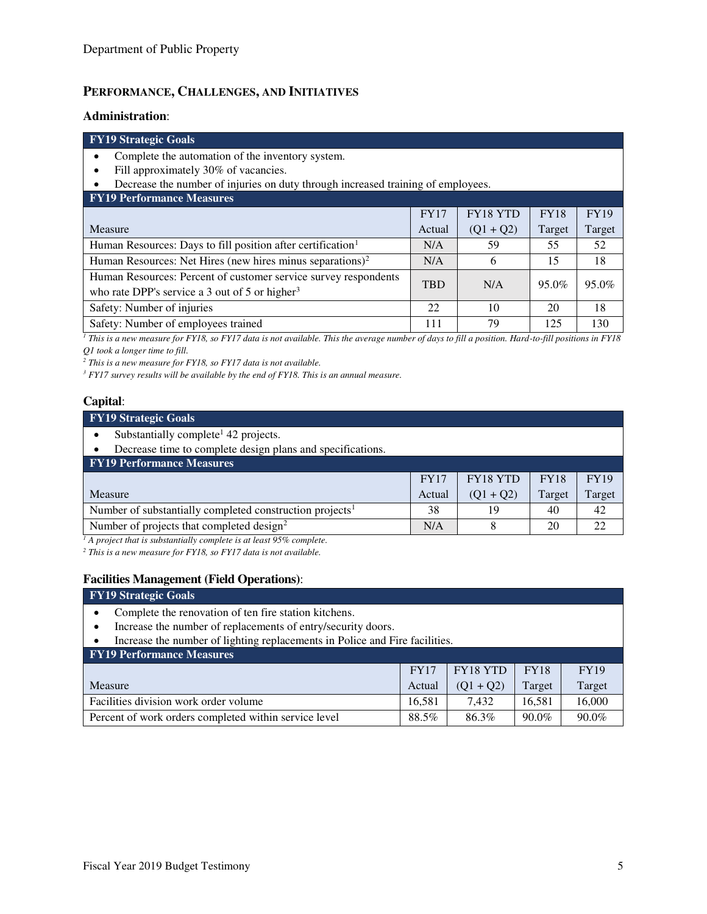## **PERFORMANCE, CHALLENGES, AND INITIATIVES**

#### **Administration**:

#### **FY19 Strategic Goals**

- Complete the automation of the inventory system.
- Fill approximately 30% of vacancies.
- Decrease the number of injuries on duty through increased training of employees.

| <b>FY19 Performance Measures</b>                                                                                              |             |             |             |             |  |  |  |
|-------------------------------------------------------------------------------------------------------------------------------|-------------|-------------|-------------|-------------|--|--|--|
|                                                                                                                               | <b>FY17</b> | FY18 YTD    | <b>FY18</b> | <b>FY19</b> |  |  |  |
| Measure                                                                                                                       | Actual      | $(Q1 + Q2)$ | Target      | Target      |  |  |  |
| Human Resources: Days to fill position after certification <sup>1</sup>                                                       | N/A         | 59          | 55          | 52          |  |  |  |
| Human Resources: Net Hires (new hires minus separations) <sup>2</sup>                                                         | N/A         | 6           | 15          | 18          |  |  |  |
| Human Resources: Percent of customer service survey respondents<br>who rate DPP's service a 3 out of 5 or higher <sup>3</sup> | <b>TBD</b>  | N/A         | 95.0%       | 95.0%       |  |  |  |
| Safety: Number of injuries                                                                                                    | 22          | 10          | 20          | 18          |  |  |  |
| Safety: Number of employees trained                                                                                           | 111         | 79          | 125         | 130         |  |  |  |

*1 This is a new measure for FY18, so FY17 data is not available. This the average number of days to fill a position. Hard-to-fill positions in FY18 Q1 took a longer time to fill.* 

*2 This is a new measure for FY18, so FY17 data is not available.* 

<sup>3</sup> FY17 survey results will be available by the end of FY18. This is an annual measure.

### **Capital**:

#### **FY19 Strategic Goals**  • Substantially complete<sup>1</sup> 42 projects. • Decrease time to complete design plans and specifications. **FY19 Performance Measures**  Measure FY17 Actual FY18 YTD  $(Q1 + Q2)$ FY18 Target FY19 Target Number of substantially completed construction projects<sup>1</sup> 138 19 19 40 42 Number of projects that completed design<sup>2</sup> N/A 8 20 22

<sup>1</sup> A project that is substantially complete is at least 95% complete.

*2 This is a new measure for FY18, so FY17 data is not available.* 

#### **Facilities Management (Field Operations)**:

| <b>FY19 Strategic Goals</b>                                                 |             |             |             |             |  |  |
|-----------------------------------------------------------------------------|-------------|-------------|-------------|-------------|--|--|
| Complete the renovation of ten fire station kitchens.                       |             |             |             |             |  |  |
| Increase the number of replacements of entry/security doors.                |             |             |             |             |  |  |
| Increase the number of lighting replacements in Police and Fire facilities. |             |             |             |             |  |  |
| <b>FY19 Performance Measures</b>                                            |             |             |             |             |  |  |
|                                                                             | <b>FY17</b> | FY18 YTD    | <b>FY18</b> | <b>FY19</b> |  |  |
| Measure                                                                     | Actual      | $(Q1 + Q2)$ | Target      | Target      |  |  |
| Facilities division work order volume                                       | 16.581      | 7.432       | 16,581      | 16,000      |  |  |
| Percent of work orders completed within service level                       | 88.5%       | 86.3%       | 90.0%       | 90.0%       |  |  |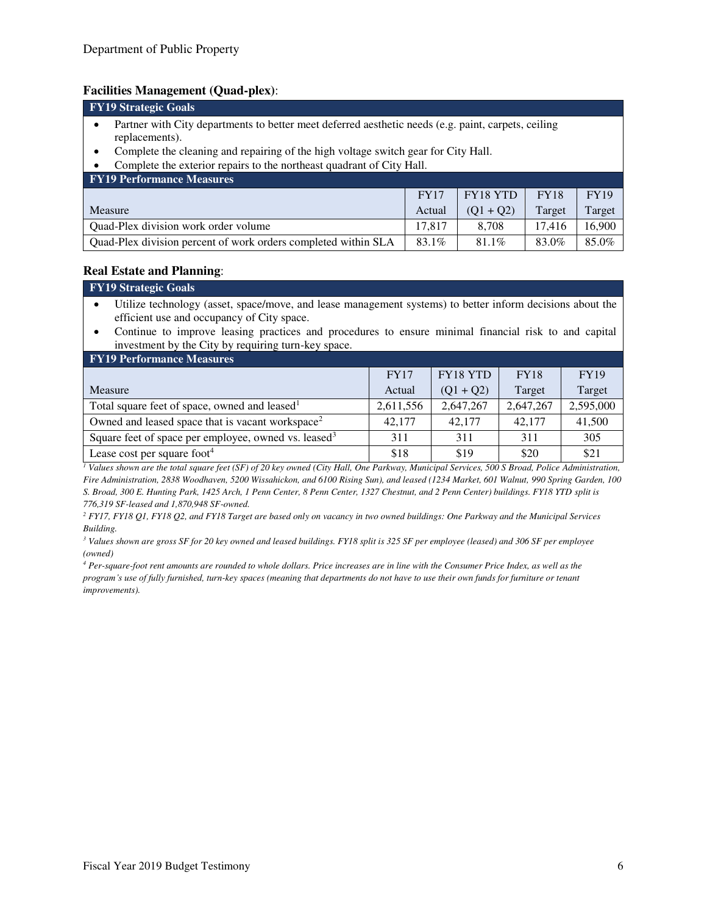#### **Facilities Management (Quad-plex)**:

| <b>FY19 Strategic Goals</b>                                                                                                |             |                 |             |             |  |  |  |
|----------------------------------------------------------------------------------------------------------------------------|-------------|-----------------|-------------|-------------|--|--|--|
| Partner with City departments to better meet deferred aesthetic needs (e.g. paint, carpets, ceiling<br>٠<br>replacements). |             |                 |             |             |  |  |  |
| Complete the cleaning and repairing of the high voltage switch gear for City Hall.<br>$\bullet$                            |             |                 |             |             |  |  |  |
| Complete the exterior repairs to the northeast quadrant of City Hall.                                                      |             |                 |             |             |  |  |  |
| <b>FY19 Performance Measures</b>                                                                                           |             |                 |             |             |  |  |  |
|                                                                                                                            | <b>FY17</b> | <b>FY18 YTD</b> | <b>FY18</b> | <b>FY19</b> |  |  |  |
| Measure                                                                                                                    | Actual      | $(Q1 + Q2)$     | Target      | Target      |  |  |  |
| Quad-Plex division work order volume                                                                                       | 17.817      | 8.708           | 17.416      | 16,900      |  |  |  |
| Quad-Plex division percent of work orders completed within SLA                                                             | 83.1%       | 81.1%           | 83.0%       | 85.0%       |  |  |  |

#### **Real Estate and Planning**:

| <b>FY19 Strategic Goals</b>                                                                                 |
|-------------------------------------------------------------------------------------------------------------|
| • Utilize technology (asset, space/move, and lease management systems) to better inform decisions about the |
| efficient use and occupancy of City space.                                                                  |

• Continue to improve leasing practices and procedures to ensure minimal financial risk to and capital investment by the City by requiring turn-key space.

| <b>FY19 Performance Measures</b>                                 |             |                 |             |             |  |  |  |  |
|------------------------------------------------------------------|-------------|-----------------|-------------|-------------|--|--|--|--|
|                                                                  | <b>FY17</b> | <b>FY18 YTD</b> | <b>FY18</b> | <b>FY19</b> |  |  |  |  |
| Measure                                                          | Actual      | $(Q1 + Q2)$     | Target      | Target      |  |  |  |  |
| Total square feet of space, owned and leased <sup>1</sup>        | 2,611,556   | 2,647,267       | 2,647,267   | 2,595,000   |  |  |  |  |
| Owned and leased space that is vacant workspace <sup>2</sup>     | 42,177      | 42,177          | 42,177      | 41,500      |  |  |  |  |
| Square feet of space per employee, owned vs. leased <sup>3</sup> | 311         | 311             | 311         | 305         |  |  |  |  |
| Lease cost per square foot $4$                                   | \$18        | \$19            | \$20        | \$21        |  |  |  |  |

<sup>1</sup> Values shown are the total square feet (SF) of 20 key owned (City Hall, One Parkway, Municipal Services, 500 S Broad, Police Administration, *Fire Administration, 2838 Woodhaven, 5200 Wissahickon, and 6100 Rising Sun), and leased (1234 Market, 601 Walnut, 990 Spring Garden, 100 S. Broad, 300 E. Hunting Park, 1425 Arch, 1 Penn Center, 8 Penn Center, 1327 Chestnut, and 2 Penn Center) buildings. FY18 YTD split is 776,319 SF-leased and 1,870,948 SF-owned.* 

<sup>2</sup> FY17, FY18 Q1, FY18 Q2, and FY18 Target are based only on vacancy in two owned buildings: One Parkway and the Municipal Services *Building.* 

*3 Values shown are gross SF for 20 key owned and leased buildings. FY18 split is 325 SF per employee (leased) and 306 SF per employee (owned)* 

*4 Per-square-foot rent amounts are rounded to whole dollars. Price increases are in line with the Consumer Price Index, as well as the program's use of fully furnished, turn-key spaces (meaning that departments do not have to use their own funds for furniture or tenant improvements).*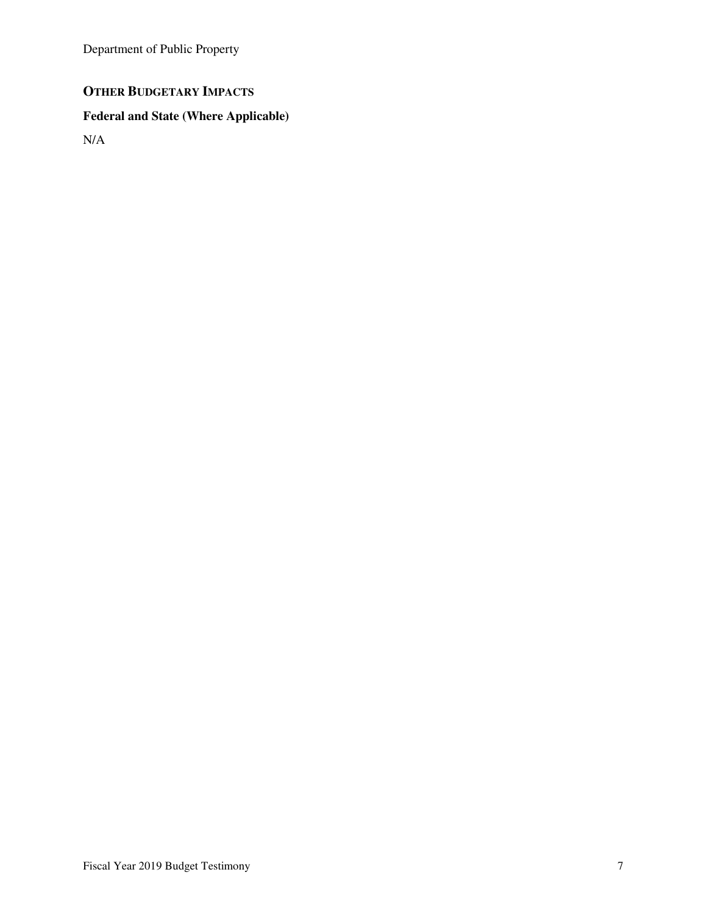Department of Public Property

## **OTHER BUDGETARY IMPACTS**

# **Federal and State (Where Applicable)**

N/A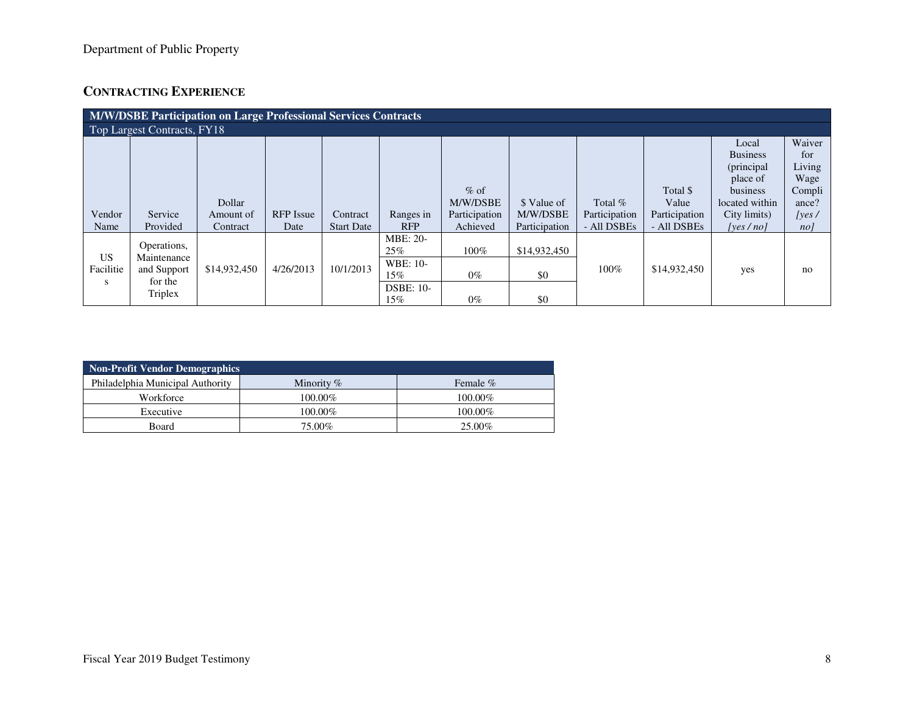## **CONTRACTING EXPERIENCE**

| <b>M/W/DSBE Participation on Large Professional Services Contracts</b> |             |              |                  |                   |                  |               |               |               |               |                 |        |  |
|------------------------------------------------------------------------|-------------|--------------|------------------|-------------------|------------------|---------------|---------------|---------------|---------------|-----------------|--------|--|
| Top Largest Contracts, FY18                                            |             |              |                  |                   |                  |               |               |               |               |                 |        |  |
|                                                                        |             |              |                  |                   |                  |               |               |               |               | Local           | Waiver |  |
|                                                                        |             |              |                  |                   |                  |               |               |               |               | <b>Business</b> | for    |  |
|                                                                        |             |              |                  |                   |                  |               |               |               |               | (principal      | Living |  |
|                                                                        |             |              |                  |                   |                  |               |               |               |               | place of        | Wage   |  |
|                                                                        |             |              |                  |                   |                  | $\%$ of       |               |               | Total \$      | business        | Compli |  |
|                                                                        |             | Dollar       |                  |                   |                  | M/W/DSBE      | \$ Value of   | Total $%$     | Value         | located within  | ance?  |  |
| Vendor                                                                 | Service     | Amount of    | <b>RFP</b> Issue | Contract          | Ranges in        | Participation | M/W/DSBE      | Participation | Participation | City limits)    | [yes/  |  |
| Name                                                                   | Provided    | Contract     | Date             | <b>Start Date</b> | <b>RFP</b>       | Achieved      | Participation | - All DSBEs   | - All DSBEs   | [yes/no]        | no/    |  |
|                                                                        |             |              |                  |                   | <b>MBE: 20-</b>  |               |               |               |               |                 |        |  |
|                                                                        | Operations, |              |                  |                   | 25%              | 100%          | \$14,932,450  |               |               |                 |        |  |
| <b>US</b>                                                              | Maintenance |              |                  |                   | WBE: 10-         |               |               |               |               |                 |        |  |
| Facilitie                                                              | and Support | \$14,932,450 | 4/26/2013        | 10/1/2013         | 15%              | $0\%$         | \$0           | $100\%$       | \$14,932,450  | yes             | no     |  |
| S                                                                      | for the     |              |                  |                   | <b>DSBE: 10-</b> |               |               |               |               |                 |        |  |
|                                                                        | Triplex     |              |                  |                   | $15\%$           | $0\%$         | \$0           |               |               |                 |        |  |

| <b>Non-Profit Vendor Demographics</b> |              |             |  |  |  |  |
|---------------------------------------|--------------|-------------|--|--|--|--|
| Philadelphia Municipal Authority      | Minority $%$ | Female $\%$ |  |  |  |  |
| Workforce                             | 100.00%      | $100.00\%$  |  |  |  |  |
| Executive                             | 100.00%      | $100.00\%$  |  |  |  |  |
| Board                                 | 75.00%       | 25.00%      |  |  |  |  |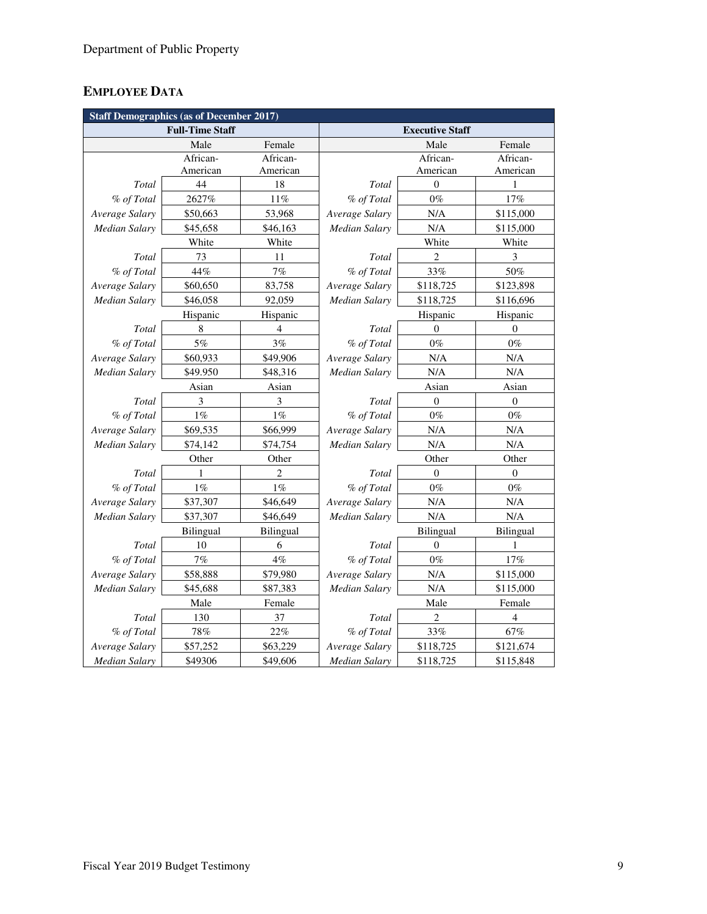## **EMPLOYEE DATA**

| <b>Staff Demographics (as of December 2017)</b> |                        |                |                        |                |                |  |  |  |
|-------------------------------------------------|------------------------|----------------|------------------------|----------------|----------------|--|--|--|
|                                                 | <b>Full-Time Staff</b> |                | <b>Executive Staff</b> |                |                |  |  |  |
|                                                 | Male                   | Female         |                        | Male           | Female         |  |  |  |
|                                                 | African-               | African-       |                        | African-       | African-       |  |  |  |
|                                                 | American               | American       |                        | American       | American       |  |  |  |
| Total                                           | 44                     | 18             | Total                  | $\theta$       | 1              |  |  |  |
| % of Total                                      | 2627%                  | 11%            | % of Total             | $0\%$          | 17%            |  |  |  |
| Average Salary                                  | \$50,663               | 53,968         | Average Salary         | N/A            | \$115,000      |  |  |  |
| <b>Median Salary</b>                            | \$45,658               | \$46,163       | Median Salary          | N/A            | \$115,000      |  |  |  |
|                                                 | White                  | White          |                        | White          | White          |  |  |  |
| Total                                           | 73                     | 11             | Total                  | $\overline{2}$ | 3              |  |  |  |
| % of Total                                      | 44%                    | 7%             | % of Total             | 33%            | 50%            |  |  |  |
| Average Salary                                  | \$60,650               | 83,758         | Average Salary         | \$118,725      | \$123,898      |  |  |  |
| Median Salary                                   | \$46,058               | 92,059         | Median Salary          | \$118,725      | \$116,696      |  |  |  |
|                                                 | Hispanic               | Hispanic       |                        | Hispanic       | Hispanic       |  |  |  |
| Total                                           | 8                      | $\overline{4}$ | Total                  | $\theta$       | $\Omega$       |  |  |  |
| % of Total                                      | $5\%$                  | 3%             | % of Total             | $0\%$          | $0\%$          |  |  |  |
| Average Salary                                  | \$60,933               |                | Average Salary         | N/A            | N/A            |  |  |  |
| <b>Median Salary</b>                            | \$49.950               | \$48,316       | Median Salary          | N/A            | N/A            |  |  |  |
|                                                 | Asian                  | Asian          |                        | Asian          | Asian          |  |  |  |
| Total                                           | 3                      | 3              | Total                  | $\mathbf{0}$   | $\overline{0}$ |  |  |  |
| % of Total                                      | $1\%$                  | $1\%$          | % of Total             | $0\%$          | $0\%$          |  |  |  |
| Average Salary                                  | \$69,535               | \$66,999       | Average Salary         | N/A            | N/A            |  |  |  |
| Median Salary                                   | \$74,142               | \$74,754       | Median Salary          | N/A            | N/A            |  |  |  |
| Other<br>Other                                  |                        |                | Other<br>Other         |                |                |  |  |  |
| Total                                           | 1                      | $\overline{c}$ | Total                  | $\theta$       | $\overline{0}$ |  |  |  |
| % of Total                                      | $1\%$                  | $1\%$          | % of Total             | $0\%$          | $0\%$          |  |  |  |
| Average Salary                                  | \$37,307               | \$46,649       | Average Salary         | N/A            | N/A            |  |  |  |
| Median Salary                                   | \$37,307               | \$46,649       | Median Salary          | N/A            | N/A            |  |  |  |
|                                                 | Bilingual              | Bilingual      |                        | Bilingual      | Bilingual      |  |  |  |
| Total                                           | 10                     | 6              | Total                  | $\overline{0}$ | 1              |  |  |  |
| % of Total                                      | 7%                     | $4\%$          | % of Total             | $0\%$          | $17\%$         |  |  |  |
| Average Salary                                  | \$58,888               | \$79,980       | Average Salary         | N/A            | \$115,000      |  |  |  |
| Median Salary<br>\$45,688                       |                        | \$87,383       | Median Salary          | N/A            | \$115,000      |  |  |  |
| Male                                            |                        | Female         |                        | Male           | Female         |  |  |  |
| Total                                           | 130                    | 37             | Total                  | 2              | 4              |  |  |  |
| % of Total                                      | 78%                    | 22%            | % of Total             | 33%            | 67%            |  |  |  |
| Average Salary                                  | \$57,252               | \$63,229       | Average Salary         | \$118,725      | \$121,674      |  |  |  |
| <b>Median Salary</b>                            | \$49306                | \$49,606       | <b>Median Salary</b>   | \$118,725      | \$115,848      |  |  |  |